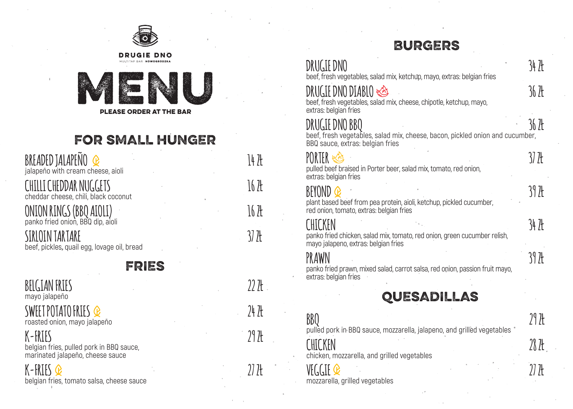

#### FOR SMALL HUNGER

| BREADED JALAPENO <b>Q</b><br>jalapeño with cream cheese, aioli |  |
|----------------------------------------------------------------|--|
| CHILLI CHEDDAR NUGGETS<br>cheddar cheese, chili, black coconut |  |
| ONION RINGS (BBQ AIOLI)<br>panko fried onion, BBQ dip, aioli   |  |
| SIRLOIN TARTARE<br>beef, pickles, quail egg, lovage oil, bread |  |
|                                                                |  |

#### FRIES

**BELGIAN FRIES 22 ZŁ** mayo jalapeño **SWEET POTATO FRIES 24 ZŁ** roasted onion, mayo jalapeño **K-FRIES 29 ZŁ**

belgian fries, pulled pork in BBQ sauce, marinated jalapeño, cheese sauce

**K-FRIES 27 ZŁ** belgian fries, tomato salsa, cheese sauce

#### BURGERS

| DRUGIE DNO<br>beef, fresh vegetables, salad mix, ketchup, mayo, extras: belgian fries                                               | 34 7Ł             |
|-------------------------------------------------------------------------------------------------------------------------------------|-------------------|
| <b>DRUGIE DNO DIABLO</b><br>beef, fresh vegetables, salad mix, cheese, chipotle, ketchup, mayo,<br>extras: belgian fries            | 36 ZŁ             |
| DRUGIE DNO BBO<br>beef, fresh vegetables, salad mix, cheese, bacon, pickled onion and cucumber,<br>BBQ sauce, extras: belgian fries | 36 7E             |
| PORTER-<br>pulled beef braised in Porter beer, salad mix, tomato, red onion,<br>extras: belgian fries                               | 37 J <del>l</del> |
| BEYOND<br>plant based beef from pea protein, aioli, ketchup, pickled cucumber,<br>red onion, tomato, extras: belgian fries          | 39 ZŁ             |
| LHILKFN<br>panko fried chicken, salad mix, tomato, red onion, green cucumber relish,<br>mayo jalapeno, extras: belgian fries        | 34 7Ł             |
| panko fried prawn, mixed salad, carrot salsa, red onion, passion fruit mayo,<br>extras: belgian fries                               | 39 7Ł             |
| QUESADILLAS                                                                                                                         |                   |
| BBQ<br>pulled pork in BBQ sauce, mozzarella, jalapeno, and grilled vegetables                                                       | 29 H              |
| chicken, mozzarella, and grilled vegetables                                                                                         | 28 H              |
| mozzarella, grilled vegetables                                                                                                      | 71 JF             |
|                                                                                                                                     |                   |